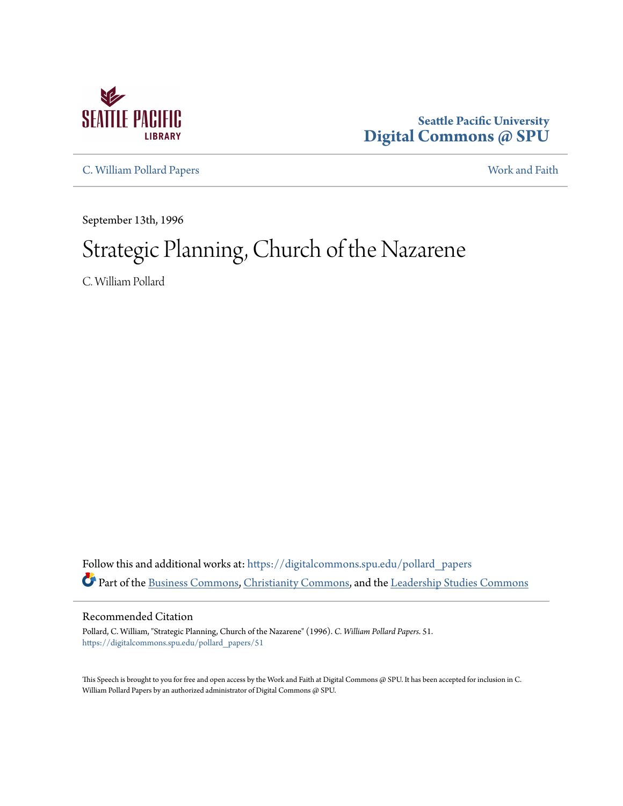

## **Seattle Pacific University [Digital Commons @ SPU](https://digitalcommons.spu.edu?utm_source=digitalcommons.spu.edu%2Fpollard_papers%2F51&utm_medium=PDF&utm_campaign=PDFCoverPages)**

[C. William Pollard Papers](https://digitalcommons.spu.edu/pollard_papers?utm_source=digitalcommons.spu.edu%2Fpollard_papers%2F51&utm_medium=PDF&utm_campaign=PDFCoverPages) [Work and Faith](https://digitalcommons.spu.edu/work_faith?utm_source=digitalcommons.spu.edu%2Fpollard_papers%2F51&utm_medium=PDF&utm_campaign=PDFCoverPages)

September 13th, 1996

## Strategic Planning, Church of the Nazarene

C. William Pollard

Follow this and additional works at: [https://digitalcommons.spu.edu/pollard\\_papers](https://digitalcommons.spu.edu/pollard_papers?utm_source=digitalcommons.spu.edu%2Fpollard_papers%2F51&utm_medium=PDF&utm_campaign=PDFCoverPages) Part of the [Business Commons,](http://network.bepress.com/hgg/discipline/622?utm_source=digitalcommons.spu.edu%2Fpollard_papers%2F51&utm_medium=PDF&utm_campaign=PDFCoverPages) [Christianity Commons](http://network.bepress.com/hgg/discipline/1181?utm_source=digitalcommons.spu.edu%2Fpollard_papers%2F51&utm_medium=PDF&utm_campaign=PDFCoverPages), and the [Leadership Studies Commons](http://network.bepress.com/hgg/discipline/1250?utm_source=digitalcommons.spu.edu%2Fpollard_papers%2F51&utm_medium=PDF&utm_campaign=PDFCoverPages)

Recommended Citation

Pollard, C. William, "Strategic Planning, Church of the Nazarene" (1996). *C. William Pollard Papers*. 51. [https://digitalcommons.spu.edu/pollard\\_papers/51](https://digitalcommons.spu.edu/pollard_papers/51?utm_source=digitalcommons.spu.edu%2Fpollard_papers%2F51&utm_medium=PDF&utm_campaign=PDFCoverPages)

This Speech is brought to you for free and open access by the Work and Faith at Digital Commons @ SPU. It has been accepted for inclusion in C. William Pollard Papers by an authorized administrator of Digital Commons @ SPU.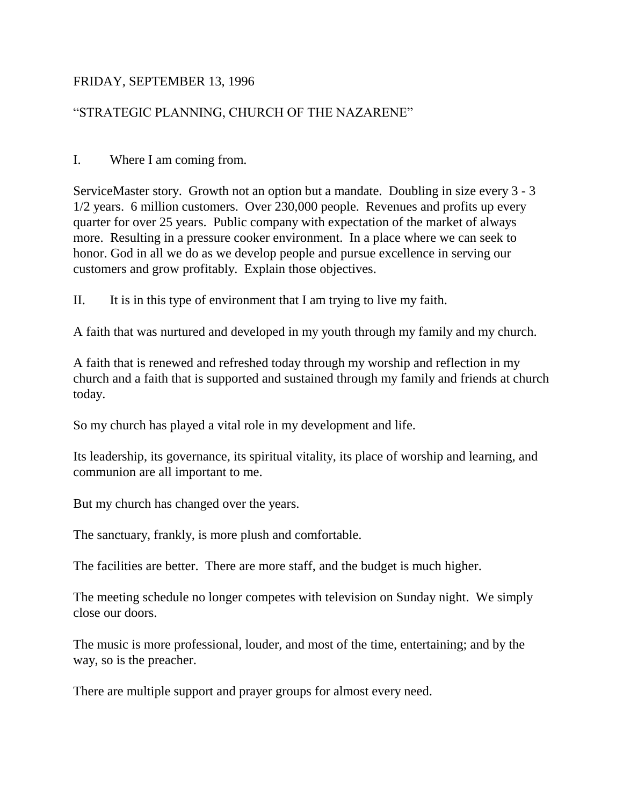## FRIDAY, SEPTEMBER 13, 1996

## "STRATEGIC PLANNING, CHURCH OF THE NAZARENE"

I. Where I am coming from.

ServiceMaster story. Growth not an option but a mandate. Doubling in size every 3 - 3 1/2 years. 6 million customers. Over 230,000 people. Revenues and profits up every quarter for over 25 years. Public company with expectation of the market of always more. Resulting in a pressure cooker environment. In a place where we can seek to honor. God in all we do as we develop people and pursue excellence in serving our customers and grow profitably. Explain those objectives.

II. It is in this type of environment that I am trying to live my faith.

A faith that was nurtured and developed in my youth through my family and my church.

A faith that is renewed and refreshed today through my worship and reflection in my church and a faith that is supported and sustained through my family and friends at church today.

So my church has played a vital role in my development and life.

Its leadership, its governance, its spiritual vitality, its place of worship and learning, and communion are all important to me.

But my church has changed over the years.

The sanctuary, frankly, is more plush and comfortable.

The facilities are better. There are more staff, and the budget is much higher.

The meeting schedule no longer competes with television on Sunday night. We simply close our doors.

The music is more professional, louder, and most of the time, entertaining; and by the way, so is the preacher.

There are multiple support and prayer groups for almost every need.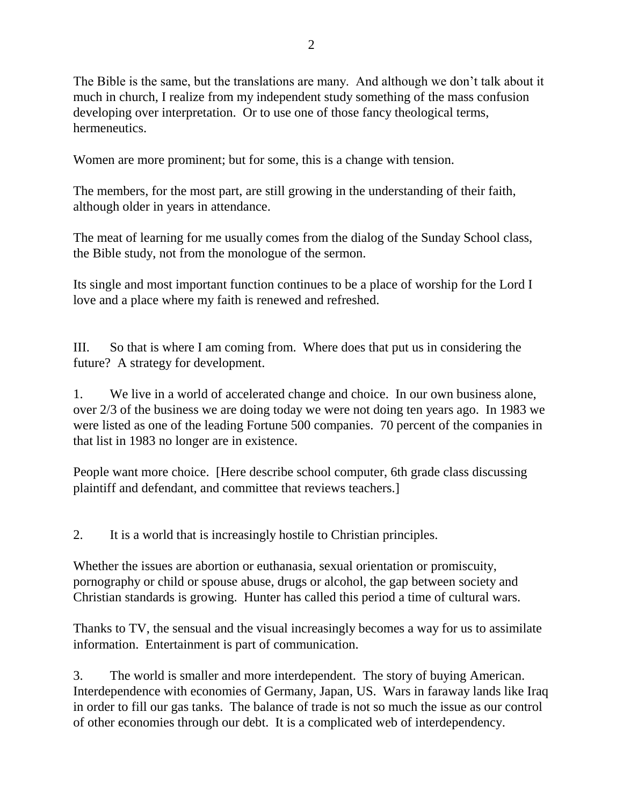The Bible is the same, but the translations are many. And although we don't talk about it much in church, I realize from my independent study something of the mass confusion developing over interpretation. Or to use one of those fancy theological terms, hermeneutics.

Women are more prominent; but for some, this is a change with tension.

The members, for the most part, are still growing in the understanding of their faith, although older in years in attendance.

The meat of learning for me usually comes from the dialog of the Sunday School class, the Bible study, not from the monologue of the sermon.

Its single and most important function continues to be a place of worship for the Lord I love and a place where my faith is renewed and refreshed.

III. So that is where I am coming from. Where does that put us in considering the future? A strategy for development.

1. We live in a world of accelerated change and choice. In our own business alone, over 2/3 of the business we are doing today we were not doing ten years ago. In 1983 we were listed as one of the leading Fortune 500 companies. 70 percent of the companies in that list in 1983 no longer are in existence.

People want more choice. [Here describe school computer, 6th grade class discussing plaintiff and defendant, and committee that reviews teachers.]

2. It is a world that is increasingly hostile to Christian principles.

Whether the issues are abortion or euthanasia, sexual orientation or promiscuity, pornography or child or spouse abuse, drugs or alcohol, the gap between society and Christian standards is growing. Hunter has called this period a time of cultural wars.

Thanks to TV, the sensual and the visual increasingly becomes a way for us to assimilate information. Entertainment is part of communication.

3. The world is smaller and more interdependent. The story of buying American. Interdependence with economies of Germany, Japan, US. Wars in faraway lands like Iraq in order to fill our gas tanks. The balance of trade is not so much the issue as our control of other economies through our debt. It is a complicated web of interdependency.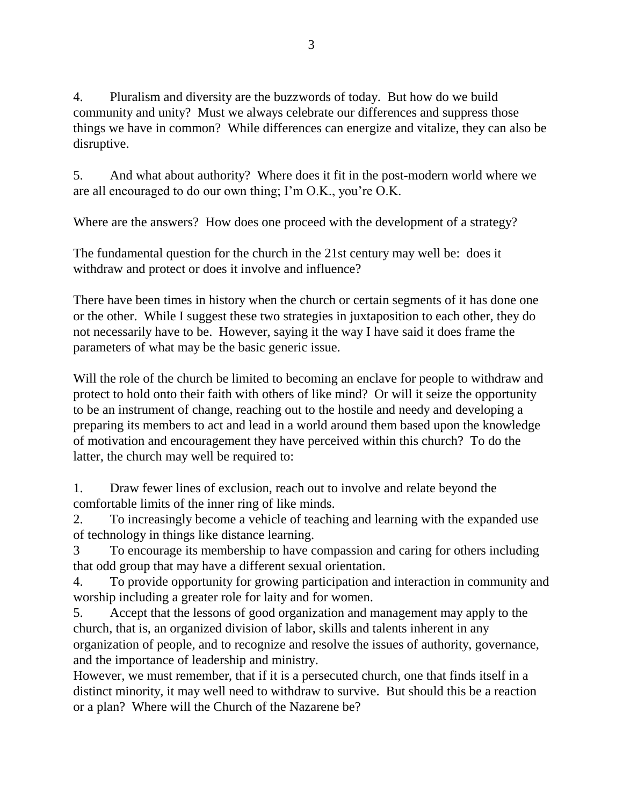4. Pluralism and diversity are the buzzwords of today. But how do we build community and unity? Must we always celebrate our differences and suppress those things we have in common? While differences can energize and vitalize, they can also be disruptive.

5. And what about authority? Where does it fit in the post-modern world where we are all encouraged to do our own thing; I'm O.K., you're O.K.

Where are the answers? How does one proceed with the development of a strategy?

The fundamental question for the church in the 21st century may well be: does it withdraw and protect or does it involve and influence?

There have been times in history when the church or certain segments of it has done one or the other. While I suggest these two strategies in juxtaposition to each other, they do not necessarily have to be. However, saying it the way I have said it does frame the parameters of what may be the basic generic issue.

Will the role of the church be limited to becoming an enclave for people to withdraw and protect to hold onto their faith with others of like mind? Or will it seize the opportunity to be an instrument of change, reaching out to the hostile and needy and developing a preparing its members to act and lead in a world around them based upon the knowledge of motivation and encouragement they have perceived within this church? To do the latter, the church may well be required to:

1. Draw fewer lines of exclusion, reach out to involve and relate beyond the comfortable limits of the inner ring of like minds.

2. To increasingly become a vehicle of teaching and learning with the expanded use of technology in things like distance learning.

3 To encourage its membership to have compassion and caring for others including that odd group that may have a different sexual orientation.

4. To provide opportunity for growing participation and interaction in community and worship including a greater role for laity and for women.

5. Accept that the lessons of good organization and management may apply to the church, that is, an organized division of labor, skills and talents inherent in any organization of people, and to recognize and resolve the issues of authority, governance, and the importance of leadership and ministry.

However, we must remember, that if it is a persecuted church, one that finds itself in a distinct minority, it may well need to withdraw to survive. But should this be a reaction or a plan? Where will the Church of the Nazarene be?